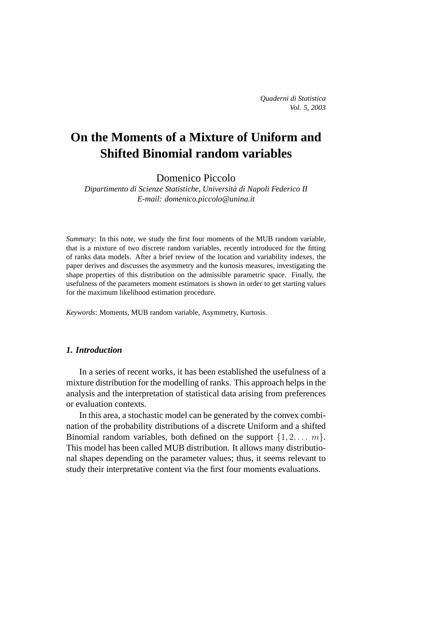# **On the Moments of a Mixture of Uniform and Shifted Binomial random variables**

Domenico Piccolo

*Dipartimento di Scienze Statistiche, Universita di Napoli Federico II ` E-mail: domenico.piccolo@unina.it*

*Summary*: In this note, we study the first four moments of the MUB random variable, that is a mixture of two discrete random variables, recently introduced for the fitting of ranks data models. After a brief review of the location and variability indexes, the paper derives and discusses the asymmetry and the kurtosis measures, investigating the shape properties of this distribution on the admissible parametric space. Finally, the usefulness of the parameters moment estimators is shown in order to get starting values for the maximum likelihood estimation procedure.

*Keywords*: Moments, MUB random variable, Asymmetry, Kurtosis.

# *1. Introduction*

In a series of recent works, it has been established the usefulness of a mixture distribution for the modelling of ranks. This approach helps in the analysis and the interpretation of statistical data arising from preferences or evaluation contexts.

In this area, a stochastic model can be generated by the convex combination of the probability distributions of a discrete Uniform and a shifted Binomial random variables, both defined on the support  $\{1, 2, \ldots, m\}$ . This model has been called MUB distribution. It allows many distributional shapes depending on the parameter values; thus, it seems relevant to study their interpretative content via the first four moments evaluations.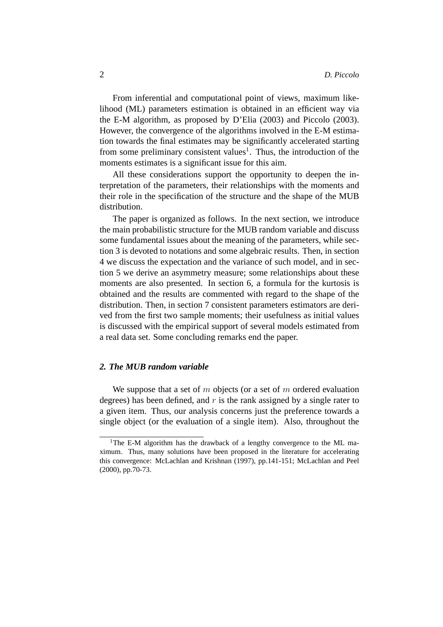From inferential and computational point of views, maximum likelihood (ML) parameters estimation is obtained in an efficient way via the E-M algorithm, as proposed by D'Elia (2003) and Piccolo (2003). However, the convergence of the algorithms involved in the E-M estimation towards the final estimates may be significantly accelerated starting from some preliminary consistent values<sup>1</sup>. Thus, the introduction of the moments estimates is a significant issue for this aim.

All these considerations support the opportunity to deepen the interpretation of the parameters, their relationships with the moments and their role in the specification of the structure and the shape of the MUB distribution.

The paper is organized as follows. In the next section, we introduce the main probabilistic structure for the MUB random variable and discuss some fundamental issues about the meaning of the parameters, while section 3 is devoted to notations and some algebraic results. Then, in section 4 we discuss the expectation and the variance of such model, and in section 5 we derive an asymmetry measure; some relationships about these moments are also presented. In section 6, a formula for the kurtosis is obtained and the results are commented with regard to the shape of the distribution. Then, in section 7 consistent parameters estimators are derived from the first two sample moments; their usefulness as initial values is discussed with the empirical support of several models estimated from a real data set. Some concluding remarks end the paper.

# *2. The MUB random variable*

We suppose that a set of m objects (or a set of m ordered evaluation degrees) has been defined, and  $r$  is the rank assigned by a single rater to a given item. Thus, our analysis concerns just the preference towards a single object (or the evaluation of a single item). Also, throughout the

<sup>&</sup>lt;sup>1</sup>The E-M algorithm has the drawback of a lengthy convergence to the ML maximum. Thus, many solutions have been proposed in the literature for accelerating this convergence: McLachlan and Krishnan (1997), pp.141-151; McLachlan and Peel (2000), pp.70-73.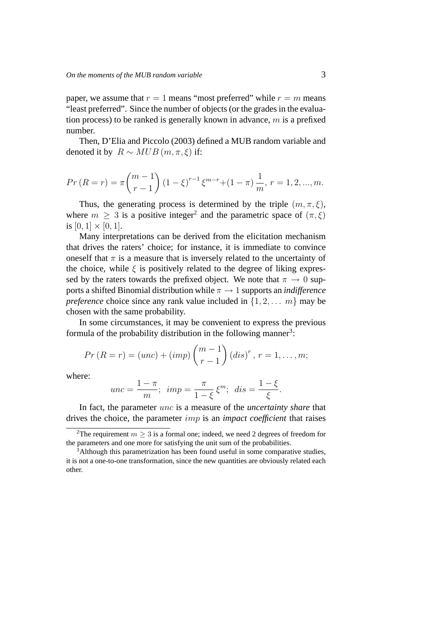paper, we assume that  $r = 1$  means "most preferred" while  $r = m$  means "least preferred". Since the number of objects (or the grades in the evaluation process) to be ranked is generally known in advance,  $m$  is a prefixed number.

Then, D'Elia and Piccolo (2003) defined a MUB random variable and denoted it by  $R \sim MUB(m, \pi, \xi)$  if:

$$
Pr(R = r) = \pi {m-1 \choose r-1} (1 - \xi)^{r-1} \xi^{m-r} + (1 - \pi) \frac{1}{m}, r = 1, 2, ..., m.
$$

Thus, the generating process is determined by the triple  $(m, \pi, \xi)$ , where  $m \geq 3$  is a positive integer<sup>2</sup> and the parametric space of  $(\pi, \xi)$ is  $[0, 1] \times [0, 1]$ .

Many interpretations can be derived from the elicitation mechanism that drives the raters' choice; for instance, it is immediate to convince oneself that  $\pi$  is a measure that is inversely related to the uncertainty of the choice, while  $\xi$  is positively related to the degree of liking expressed by the raters towards the prefixed object. We note that  $\pi \to 0$  supports a shifted Binomial distribution while  $\pi \rightarrow 1$  supports an *indifference preference* choice since any rank value included in  $\{1, 2, \ldots, m\}$  may be chosen with the same probability.

In some circumstances, it may be convenient to express the previous formula of the probability distribution in the following manner<sup>3</sup>:

$$
Pr(R = r) = (unc) + (imp) {m-1 \choose r-1} (dis)^r, r = 1,...,m;
$$

where:

$$
unc = \frac{1 - \pi}{m}; \ \ imp = \frac{\pi}{1 - \xi} \xi^m; \ \ dis = \frac{1 - \xi}{\xi}.
$$

In fact, the parameter unc is a measure of the *uncertainty share* that drives the choice, the parameter imp is an *impact coefficient* that raises

<sup>&</sup>lt;sup>2</sup>The requirement  $m \geq 3$  is a formal one; indeed, we need 2 degrees of freedom for the parameters and one more for satisfying the unit sum of the probabilities.

 $3$ Although this parametrization has been found useful in some comparative studies, it is not a one-to-one transformation, since the new quantities are obviously related each other.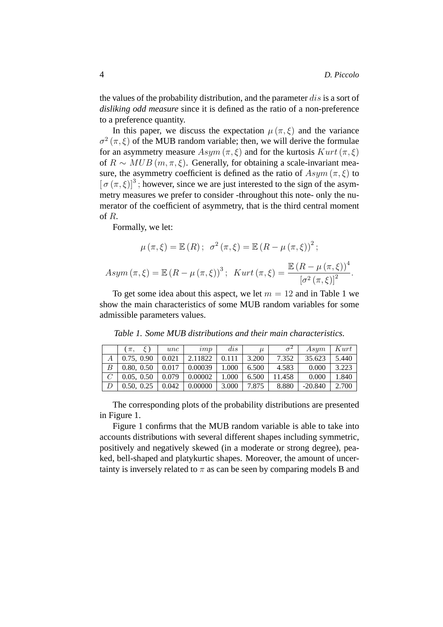the values of the probability distribution, and the parameter dis is a sort of *disliking odd measure* since it is defined as the ratio of a non-preference to a preference quantity.

In this paper, we discuss the expectation  $\mu(\pi,\xi)$  and the variance  $\sigma^2(\pi,\xi)$  of the MUB random variable; then, we will derive the formulae for an asymmetry measure  $Asym(\pi,\xi)$  and for the kurtosis  $Kurt(\pi,\xi)$ of  $R \sim MUB(m, \pi, \xi)$ . Generally, for obtaining a scale-invariant measure, the asymmetry coefficient is defined as the ratio of  $Asym(\pi,\xi)$  to  $[\sigma(\pi,\xi)]^3$ ; however, since we are just interested to the sign of the asymmetry measures we prefer to consider -throughout this note- only the numerator of the coefficient of asymmetry, that is the third central moment of R.

Formally, we let:

$$
\mu(\pi,\xi) = \mathbb{E}(R); \quad \sigma^2(\pi,\xi) = \mathbb{E}(R - \mu(\pi,\xi))^2;
$$
  
Asym $(\pi,\xi) = \mathbb{E}(R - \mu(\pi,\xi))^3$ ; Kurt $(\pi,\xi) = \frac{\mathbb{E}(R - \mu(\pi,\xi))^4}{[\sigma^2(\pi,\xi)]^2}$ .

To get some idea about this aspect, we let  $m = 12$  and in Table 1 we show the main characteristics of some MUB random variables for some admissible parameters values.

|   | $\pi$ .    | unc   | imp     | dis   | $\mu$ | $\sigma^2$ | Asym      | Kurt  |
|---|------------|-------|---------|-------|-------|------------|-----------|-------|
|   | 0.75, 0.90 | 0.021 | 2.11822 | 0.111 | 3.200 | 7.352      | 35.623    | 5.440 |
| B | 0.80, 0.50 | 0.017 | 0.00039 | 1.000 | 6.500 | 4.583      | 0.000     | 3.223 |
|   | 0.05, 0.50 | 0.079 | 0.00002 | 1.000 | 6.500 | 11.458     | 0.000     | 1.840 |
|   | 0.50, 0.25 | 0.042 | 0.00000 | 3.000 | 7.875 | 8.880      | $-20.840$ | 2.700 |

*Table 1. Some MUB distributions and their main characteristics.*

The corresponding plots of the probability distributions are presented in Figure 1.

Figure 1 confirms that the MUB random variable is able to take into accounts distributions with several different shapes including symmetric, positively and negatively skewed (in a moderate or strong degree), peaked, bell-shaped and platykurtic shapes. Moreover, the amount of uncertainty is inversely related to  $\pi$  as can be seen by comparing models B and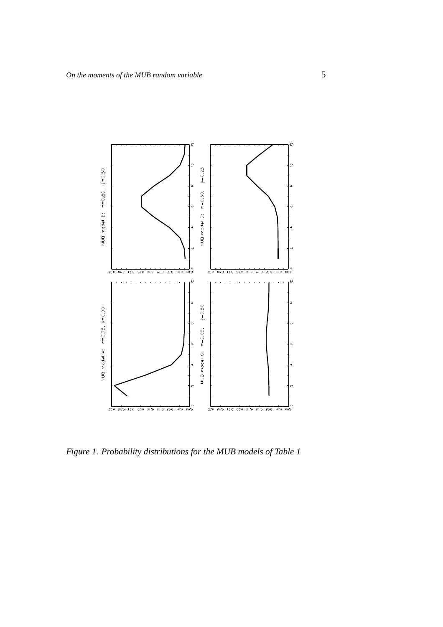

*Figure 1. Probability distributions for the MUB models of Table 1*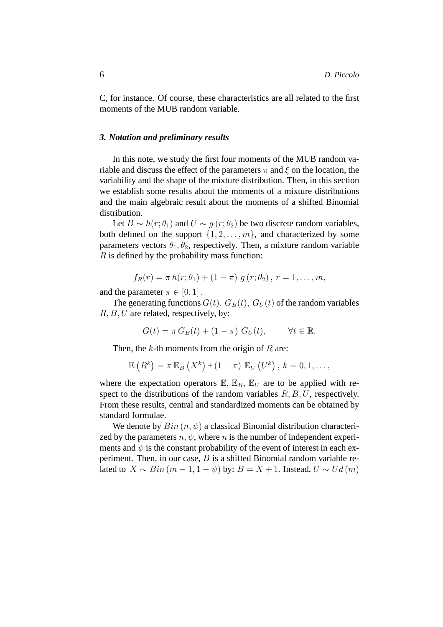C, for instance. Of course, these characteristics are all related to the first moments of the MUB random variable.

#### *3. Notation and preliminary results*

In this note, we study the first four moments of the MUB random variable and discuss the effect of the parameters  $\pi$  and  $\xi$  on the location, the variability and the shape of the mixture distribution. Then, in this section we establish some results about the moments of a mixture distributions and the main algebraic result about the moments of a shifted Binomial distribution.

Let  $B \sim h(r; \theta_1)$  and  $U \sim g(r; \theta_2)$  be two discrete random variables, both defined on the support  $\{1, 2, \ldots, m\}$ , and characterized by some parameters vectors  $\theta_1, \theta_2$ , respectively. Then, a mixture random variable  $R$  is defined by the probability mass function:

$$
f_R(r) = \pi h(r; \theta_1) + (1 - \pi) g(r; \theta_2), r = 1, ..., m,
$$

and the parameter  $\pi \in [0, 1]$ .

The generating functions  $G(t)$ ,  $G_B(t)$ ,  $G_U(t)$  of the random variables  $R, B, U$  are related, respectively, by:

$$
G(t) = \pi G_B(t) + (1 - \pi) G_U(t), \qquad \forall t \in \mathbb{R}.
$$

Then, the  $k$ -th moments from the origin of  $R$  are:

$$
\mathbb{E}\left(R^{k}\right) = \pi \mathbb{E}_{B}\left(X^{k}\right) + \left(1-\pi\right) \mathbb{E}_{U}\left(U^{k}\right), k = 0, 1, \ldots,
$$

where the expectation operators  $\mathbb{E}, \mathbb{E}_B, \mathbb{E}_U$  are to be applied with respect to the distributions of the random variables  $R, B, U$ , respectively. From these results, central and standardized moments can be obtained by standard formulae.

We denote by  $Bin(n, \psi)$  a classical Binomial distribution characterized by the parameters  $n, \psi$ , where n is the number of independent experiments and  $\psi$  is the constant probability of the event of interest in each experiment. Then, in our case,  $B$  is a shifted Binomial random variable related to  $X \sim Bin(m-1, 1-\psi)$  by:  $B = X + 1$ . Instead,  $U \sim Ud(m)$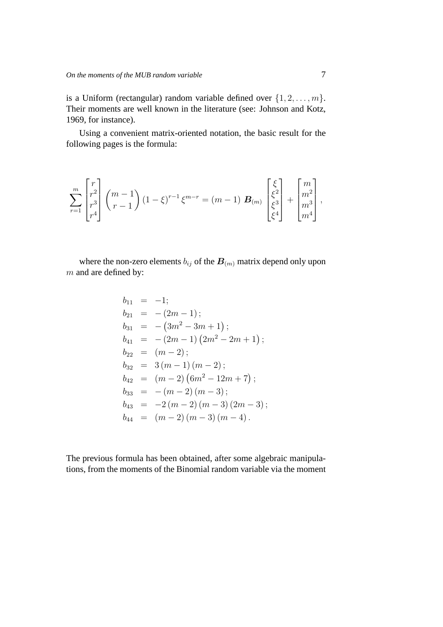is a Uniform (rectangular) random variable defined over  $\{1, 2, \ldots, m\}$ . Their moments are well known in the literature (see: Johnson and Kotz, 1969, for instance).

Using a convenient matrix-oriented notation, the basic result for the following pages is the formula:

$$
\sum_{r=1}^{m} \begin{bmatrix} r \\ r^2 \\ r^3 \\ r^4 \end{bmatrix} \binom{m-1}{r-1} (1-\xi)^{r-1} \xi^{m-r} = (m-1) \mathbf{B}_{(m)} \begin{bmatrix} \xi \\ \xi^2 \\ \xi^3 \\ \xi^4 \end{bmatrix} + \begin{bmatrix} m \\ m^2 \\ m^3 \\ m^4 \end{bmatrix},
$$

where the non-zero elements  $b_{ij}$  of the  $B_{(m)}$  matrix depend only upon  $m$  and are defined by:

$$
b_{11} = -1;
$$
  
\n
$$
b_{21} = -(2m - 1);
$$
  
\n
$$
b_{31} = -(3m^2 - 3m + 1);
$$
  
\n
$$
b_{41} = -(2m - 1) (2m^2 - 2m + 1);
$$
  
\n
$$
b_{22} = (m - 2);
$$
  
\n
$$
b_{32} = 3 (m - 1) (m - 2);
$$
  
\n
$$
b_{42} = (m - 2) (6m^2 - 12m + 7);
$$
  
\n
$$
b_{33} = -(m - 2) (m - 3);
$$
  
\n
$$
b_{43} = -2 (m - 2) (m - 3) (2m - 3);
$$
  
\n
$$
b_{44} = (m - 2) (m - 3) (m - 4).
$$

The previous formula has been obtained, after some algebraic manipulations, from the moments of the Binomial random variable via the moment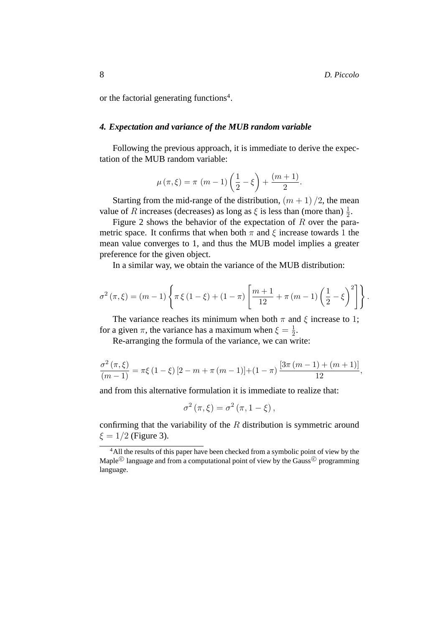or the factorial generating functions<sup>4</sup>.

# *4. Expectation and variance of the MUB random variable*

Following the previous approach, it is immediate to derive the expectation of the MUB random variable:

$$
\mu(\pi,\xi) = \pi (m-1) \left( \frac{1}{2} - \xi \right) + \frac{(m+1)}{2}.
$$

Starting from the mid-range of the distribution,  $(m + 1)/2$ , the mean value of R increases (decreases) as long as  $\xi$  is less than (more than)  $\frac{1}{2}$ .

Figure 2 shows the behavior of the expectation of  $R$  over the parametric space. It confirms that when both  $\pi$  and  $\xi$  increase towards 1 the mean value converges to 1, and thus the MUB model implies a greater preference for the given object.

In a similar way, we obtain the variance of the MUB distribution:

$$
\sigma^{2}(\pi,\xi) = (m-1)\left\{\pi \xi (1-\xi) + (1-\pi) \left[\frac{m+1}{12} + \pi (m-1) \left(\frac{1}{2} - \xi\right)^{2}\right]\right\}.
$$

The variance reaches its minimum when both  $\pi$  and  $\xi$  increase to 1; for a given  $\pi$ , the variance has a maximum when  $\xi = \frac{1}{2}$  $\frac{1}{2}$ .

Re-arranging the formula of the variance, we can write:

$$
\frac{\sigma^2(\pi,\xi)}{(m-1)} = \pi\xi(1-\xi)[2-m+\pi(m-1)]+(1-\pi)\frac{[3\pi(m-1)+(m+1)]}{12},
$$

and from this alternative formulation it is immediate to realize that:

$$
\sigma^{2}(\pi,\xi)=\sigma^{2}(\pi,1-\xi),
$$

confirming that the variability of the  $R$  distribution is symmetric around  $\xi = 1/2$  (Figure 3).

<sup>4</sup>All the results of this paper have been checked from a symbolic point of view by the Maple<sup>©</sup> language and from a computational point of view by the Gauss<sup>©</sup> programming language.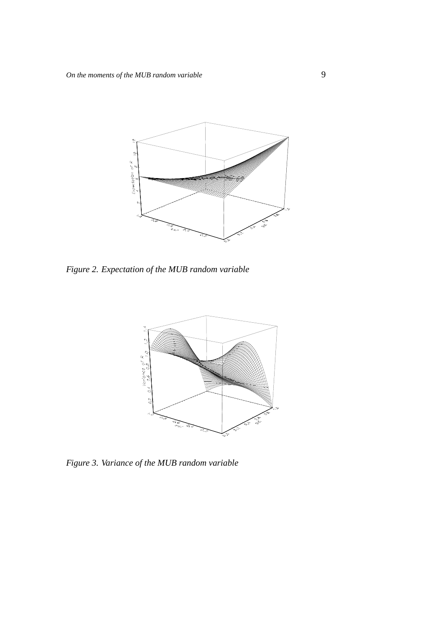

*Figure 2. Expectation of the MUB random variable*



*Figure 3. Variance of the MUB random variable*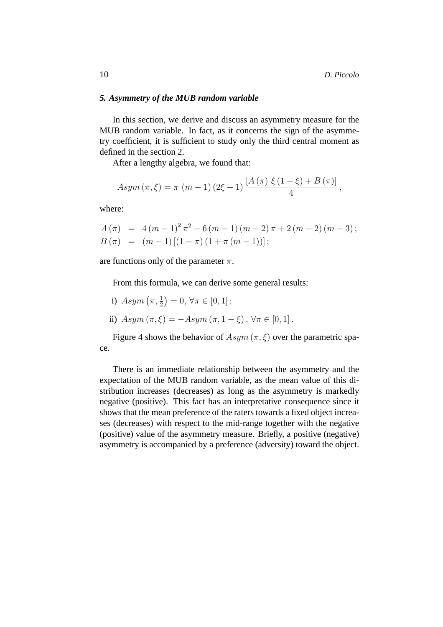# *5. Asymmetry of the MUB random variable*

In this section, we derive and discuss an asymmetry measure for the MUB random variable. In fact, as it concerns the sign of the asymmetry coefficient, it is sufficient to study only the third central moment as defined in the section 2.

After a lengthy algebra, we found that:

$$
Asym (\pi, \xi) = \pi (m-1) (2\xi - 1) \frac{[A(\pi) \xi (1 - \xi) + B(\pi)]}{4},
$$

where:

$$
A(\pi) = 4(m-1)^2 \pi^2 - 6(m-1)(m-2) \pi + 2(m-2)(m-3);
$$
  
\n
$$
B(\pi) = (m-1)[(1-\pi)(1+\pi(m-1))];
$$

are functions only of the parameter  $\pi$ .

From this formula, we can derive some general results:

- i)  $Asym\left(\pi,\frac{1}{2}\right)=0, \forall \pi \in [0,1];$
- ii)  $Asym (\pi, \xi) = -Asym (\pi, 1 \xi), \forall \pi \in [0, 1].$

Figure 4 shows the behavior of  $Asym(\pi,\xi)$  over the parametric space.

There is an immediate relationship between the asymmetry and the expectation of the MUB random variable, as the mean value of this distribution increases (decreases) as long as the asymmetry is markedly negative (positive). This fact has an interpretative consequence since it shows that the mean preference of the raters towards a fixed object increases (decreases) with respect to the mid-range together with the negative (positive) value of the asymmetry measure. Briefly, a positive (negative) asymmetry is accompanied by a preference (adversity) toward the object.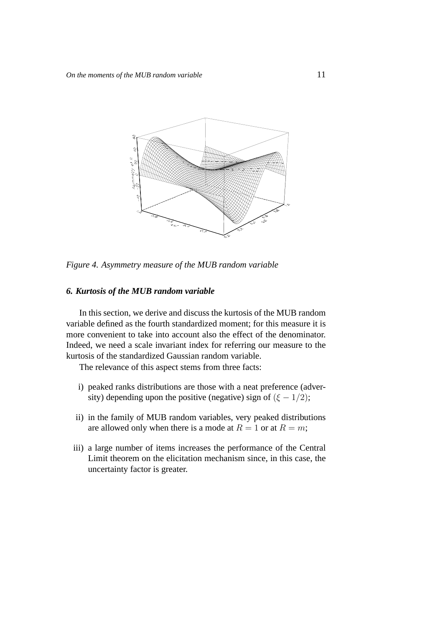

*Figure 4. Asymmetry measure of the MUB random variable*

# *6. Kurtosis of the MUB random variable*

In this section, we derive and discuss the kurtosis of the MUB random variable defined as the fourth standardized moment; for this measure it is more convenient to take into account also the effect of the denominator. Indeed, we need a scale invariant index for referring our measure to the kurtosis of the standardized Gaussian random variable.

The relevance of this aspect stems from three facts:

- i) peaked ranks distributions are those with a neat preference (adversity) depending upon the positive (negative) sign of  $(\xi - 1/2)$ ;
- ii) in the family of MUB random variables, very peaked distributions are allowed only when there is a mode at  $R = 1$  or at  $R = m$ ;
- iii) a large number of items increases the performance of the Central Limit theorem on the elicitation mechanism since, in this case, the uncertainty factor is greater.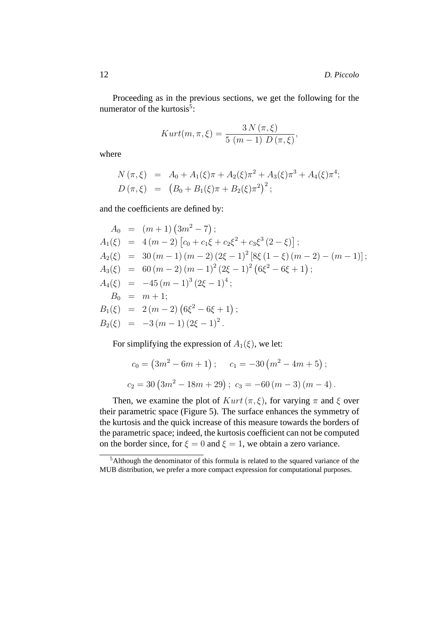Proceeding as in the previous sections, we get the following for the numerator of the kurtosis<sup>5</sup>:

$$
Kurt(m, \pi, \xi) = \frac{3 N(\pi, \xi)}{5 (m-1) D(\pi, \xi)},
$$

where

$$
N(\pi,\xi) = A_0 + A_1(\xi)\pi + A_2(\xi)\pi^2 + A_3(\xi)\pi^3 + A_4(\xi)\pi^4;
$$
  
\n
$$
D(\pi,\xi) = (B_0 + B_1(\xi)\pi + B_2(\xi)\pi^2)^2;
$$

and the coefficients are defined by:

$$
A_0 = (m+1) (3m^2 - 7);
$$
  
\n
$$
A_1(\xi) = 4(m-2) [c_0 + c_1\xi + c_2\xi^2 + c_3\xi^3 (2 - \xi)];
$$
  
\n
$$
A_2(\xi) = 30 (m-1) (m-2) (2\xi - 1)^2 [8\xi (1 - \xi) (m - 2) - (m - 1)];
$$
  
\n
$$
A_3(\xi) = 60 (m-2) (m-1)^2 (2\xi - 1)^2 (6\xi^2 - 6\xi + 1);
$$
  
\n
$$
A_4(\xi) = -45 (m-1)^3 (2\xi - 1)^4;
$$
  
\n
$$
B_0 = m + 1;
$$
  
\n
$$
B_1(\xi) = 2 (m-2) (6\xi^2 - 6\xi + 1);
$$
  
\n
$$
B_2(\xi) = -3 (m-1) (2\xi - 1)^2.
$$

For simplifying the expression of  $A_1(\xi)$ , we let:

$$
c_0 = (3m^2 - 6m + 1); \qquad c_1 = -30(m^2 - 4m + 5);
$$
  

$$
c_2 = 30(3m^2 - 18m + 29); \quad c_3 = -60(m - 3)(m - 4).
$$

Then, we examine the plot of  $Kurt(\pi, \xi)$ , for varying  $\pi$  and  $\xi$  over their parametric space (Figure 5). The surface enhances the symmetry of the kurtosis and the quick increase of this measure towards the borders of the parametric space; indeed, the kurtosis coefficient can not be computed on the border since, for  $\xi = 0$  and  $\xi = 1$ , we obtain a zero variance.

<sup>5</sup>Although the denominator of this formula is related to the squared variance of the MUB distribution, we prefer a more compact expression for computational purposes.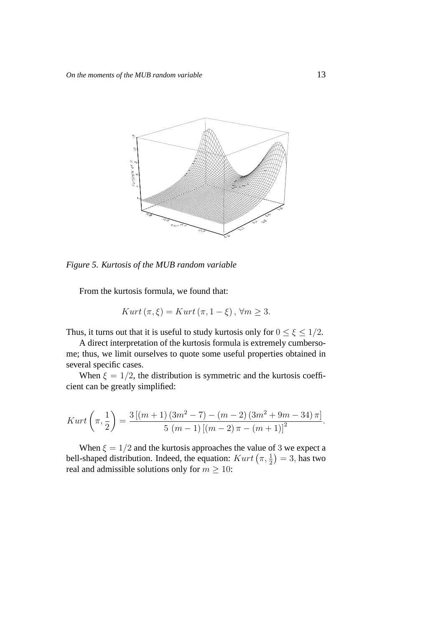

*Figure 5. Kurtosis of the MUB random variable*

From the kurtosis formula, we found that:

$$
Kurt\left(\pi,\xi\right)=Kurt\left(\pi,1-\xi\right),\,\forall m\geq 3.
$$

Thus, it turns out that it is useful to study kurtosis only for  $0 \le \xi \le 1/2$ .

A direct interpretation of the kurtosis formula is extremely cumbersome; thus, we limit ourselves to quote some useful properties obtained in several specific cases.

When  $\xi = 1/2$ , the distribution is symmetric and the kurtosis coefficient can be greatly simplified:

$$
Kurt\left(\pi,\frac{1}{2}\right) = \frac{3\left[(m+1)\left(3m^2-7\right) - (m-2)\left(3m^2+9m-34\right)\pi\right]}{5\left(m-1\right)\left[(m-2)\pi - (m+1)\right]^2}.
$$

When  $\xi = 1/2$  and the kurtosis approaches the value of 3 we expect a bell-shaped distribution. Indeed, the equation:  $Kurt (\pi, \frac{1}{2}) = 3$ , has two real and admissible solutions only for  $m \ge 10$ :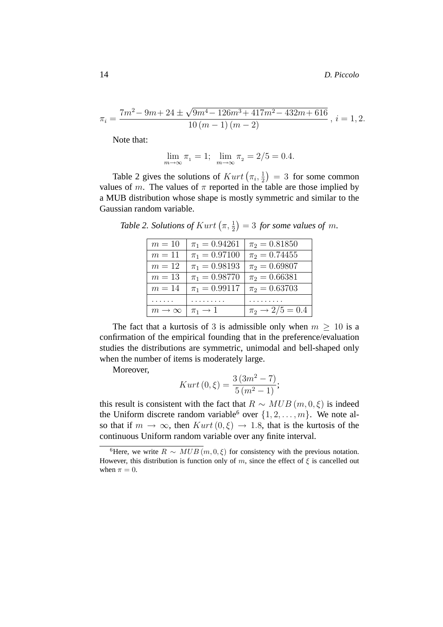$$
\pi_i = \frac{7m^2 - 9m + 24 \pm \sqrt{9m^4 - 126m^3 + 417m^2 - 432m + 616}}{10(m - 1)(m - 2)}, i = 1, 2.
$$

Note that:

$$
\lim_{m \to \infty} \pi_1 = 1; \ \lim_{m \to \infty} \pi_2 = 2/5 = 0.4.
$$

Table 2 gives the solutions of  $Kurt(\pi_i, \frac{1}{2})$  $\frac{1}{2}$ ) = 3 for some common values of m. The values of  $\pi$  reported in the table are those implied by a MUB distribution whose shape is mostly symmetric and similar to the Gaussian random variable.

Table 2. Solutions of  $Kurt\left(\pi,\frac{1}{2}\right) = 3$  for some values of m.

| $m=10$               | $\pi_1 = 0.94261$     | $\pi_2 = 0.81850$     |
|----------------------|-----------------------|-----------------------|
| $m=11$               | $\pi_1 = 0.97100$     | $\pi_2 = 0.74455$     |
| $m=12$               | $\pi_1 = 0.98193$     | $\pi_2 = 0.69807$     |
| $m=13$               | $\pi_1 = 0.98770$     | $\pi_2 = 0.66381$     |
| $m=14$               | $\pi_1 = 0.99117$     | $\pi_2 = 0.63703$     |
| .                    | .                     | .                     |
| $m\rightarrow\infty$ | $\pi_1 \rightarrow 1$ | $\pi_2 \to 2/5 = 0.4$ |

The fact that a kurtosis of 3 is admissible only when  $m \geq 10$  is a confirmation of the empirical founding that in the preference/evaluation studies the distributions are symmetric, unimodal and bell-shaped only when the number of items is moderately large.

Moreover,

$$
Kurt(0,\xi) = \frac{3(3m^2 - 7)}{5(m^2 - 1)};
$$

this result is consistent with the fact that  $R \sim MUB(m, 0, \xi)$  is indeed the Uniform discrete random variable<sup>6</sup> over  $\{1, 2, \ldots, m\}$ . We note also that if  $m \to \infty$ , then  $Kurt(0,\xi) \to 1.8$ , that is the kurtosis of the continuous Uniform random variable over any finite interval.

<sup>&</sup>lt;sup>6</sup>Here, we write  $R \sim MUB(m, 0, \xi)$  for consistency with the previous notation. However, this distribution is function only of m, since the effect of  $\xi$  is cancelled out when  $\pi = 0$ .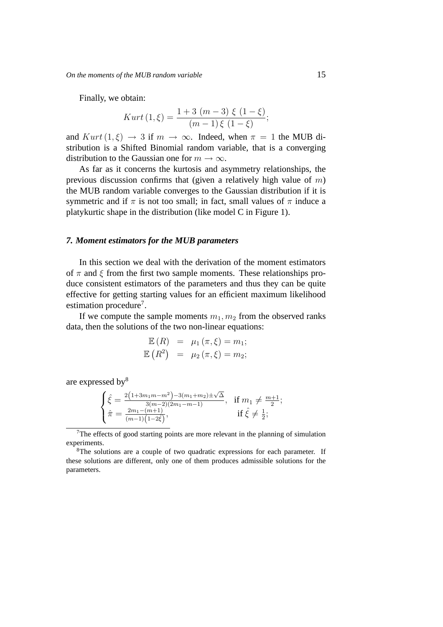Finally, we obtain:

$$
Kurt(1,\xi) = \frac{1+3(m-3)\xi(1-\xi)}{(m-1)\xi(1-\xi)};
$$

and  $Kurt(1,\xi) \rightarrow 3$  if  $m \rightarrow \infty$ . Indeed, when  $\pi = 1$  the MUB distribution is a Shifted Binomial random variable, that is a converging distribution to the Gaussian one for  $m \to \infty$ .

As far as it concerns the kurtosis and asymmetry relationships, the previous discussion confirms that (given a relatively high value of  $m$ ) the MUB random variable converges to the Gaussian distribution if it is symmetric and if  $\pi$  is not too small; in fact, small values of  $\pi$  induce a platykurtic shape in the distribution (like model C in Figure 1).

## *7. Moment estimators for the MUB parameters*

In this section we deal with the derivation of the moment estimators of  $\pi$  and  $\xi$  from the first two sample moments. These relationships produce consistent estimators of the parameters and thus they can be quite effective for getting starting values for an efficient maximum likelihood estimation procedure<sup>7</sup>.

If we compute the sample moments  $m_1, m_2$  from the observed ranks data, then the solutions of the two non-linear equations:

$$
\mathbb{E}(R) = \mu_1(\pi, \xi) = m_1;
$$
  

$$
\mathbb{E}(R^2) = \mu_2(\pi, \xi) = m_2;
$$

are expressed by<sup>8</sup>

$$
\begin{cases} \hat{\xi} = \frac{2\left(1+3m_1m-m^2\right)-3\left(m_1+m_2\right)\pm\sqrt{\Delta}}{3\left(m-2\right)\left(2m_1-m-1\right)}, & \text{if } m_1 \neq \frac{m+1}{2};\\ \hat{\pi} = \frac{2m_1-\left(m+1\right)}{\left(m-1\right)\left(1-2\hat{\xi}\right)}, & \text{if } \hat{\xi} \neq \frac{1}{2}; \end{cases}
$$

 $7$ The effects of good starting points are more relevant in the planning of simulation experiments.

<sup>&</sup>lt;sup>8</sup>The solutions are a couple of two quadratic expressions for each parameter. If these solutions are different, only one of them produces admissible solutions for the parameters.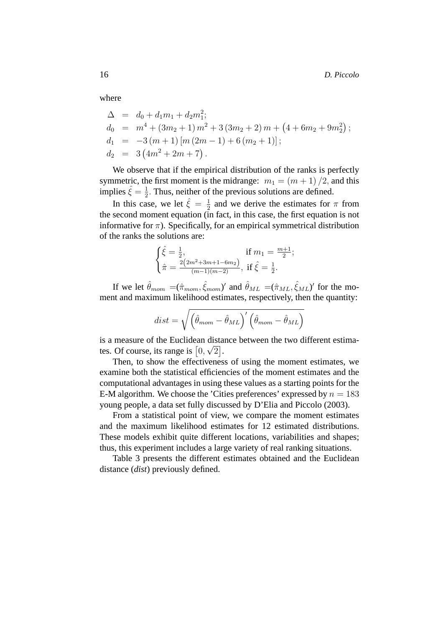where

$$
\Delta = d_0 + d_1 m_1 + d_2 m_1^2;
$$
  
\n
$$
d_0 = m^4 + (3m_2 + 1) m^2 + 3 (3m_2 + 2) m + (4 + 6m_2 + 9m_2^2);
$$
  
\n
$$
d_1 = -3 (m + 1) [m (2m - 1) + 6 (m_2 + 1)];
$$
  
\n
$$
d_2 = 3 (4m^2 + 2m + 7).
$$

We observe that if the empirical distribution of the ranks is perfectly symmetric, the first moment is the midrange:  $m_1 = (m + 1)/2$ , and this implies  $\hat{\xi} = \frac{1}{2}$  $\frac{1}{2}$ . Thus, neither of the previous solutions are defined.

In this case, we let  $\hat{\xi} = \frac{1}{2}$  $\frac{1}{2}$  and we derive the estimates for  $\pi$  from the second moment equation (in fact, in this case, the first equation is not informative for  $\pi$ ). Specifically, for an empirical symmetrical distribution of the ranks the solutions are:

$$
\begin{cases} \hat{\xi} = \frac{1}{2}, & \text{if } m_1 = \frac{m+1}{2};\\ \hat{\pi} = \frac{2(2m^2 + 3m + 1 - 6m_2)}{(m-1)(m-2)}, & \text{if } \hat{\xi} = \frac{1}{2}. \end{cases}
$$

If we let  $\hat{\theta}_{mom} = (\hat{\pi}_{mom}, \hat{\xi}_{mom})'$  and  $\hat{\theta}_{ML} = (\hat{\pi}_{ML}, \hat{\xi}_{ML})'$  for the moment and maximum likelihood estimates, respectively, then the quantity:

$$
dist = \sqrt{\left(\hat{\theta}_{mom} - \hat{\theta}_{ML}\right)' \left(\hat{\theta}_{mom} - \hat{\theta}_{ML}\right)}
$$

is a measure of the Euclidean distance between the two different estimates. Of course, its range is  $[0, \sqrt{2}]$ .

Then, to show the effectiveness of using the moment estimates, we examine both the statistical efficiencies of the moment estimates and the computational advantages in using these values as a starting points for the E-M algorithm. We choose the 'Cities preferences' expressed by  $n = 183$ young people, a data set fully discussed by D'Elia and Piccolo (2003).

From a statistical point of view, we compare the moment estimates and the maximum likelihood estimates for 12 estimated distributions. These models exhibit quite different locations, variabilities and shapes; thus, this experiment includes a large variety of real ranking situations.

Table 3 presents the different estimates obtained and the Euclidean distance (*dist*) previously defined.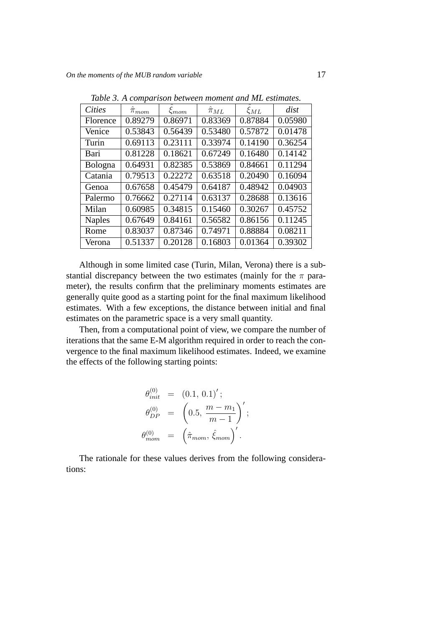| <b>Cities</b>  | $\pi_{mom}$ | $\hat{\xi}_{mom}$ | $\hat{\pi}_{ML}$ | $\hat{\xi}_{ML}$ | dist    |
|----------------|-------------|-------------------|------------------|------------------|---------|
| Florence       | 0.89279     | 0.86971           | 0.83369          | 0.87884          | 0.05980 |
| Venice         | 0.53843     | 0.56439           | 0.53480          | 0.57872          | 0.01478 |
| Turin          | 0.69113     | 0.23111           | 0.33974          | 0.14190          | 0.36254 |
| Bari           | 0.81228     | 0.18621           | 0.67249          | 0.16480          | 0.14142 |
| <b>Bologna</b> | 0.64931     | 0.82385           | 0.53869          | 0.84661          | 0.11294 |
| Catania        | 0.79513     | 0.22272           | 0.63518          | 0.20490          | 0.16094 |
| Genoa          | 0.67658     | 0.45479           | 0.64187          | 0.48942          | 0.04903 |
| Palermo        | 0.76662     | 0.27114           | 0.63137          | 0.28688          | 0.13616 |
| Milan          | 0.60985     | 0.34815           | 0.15460          | 0.30267          | 0.45752 |
| <b>Naples</b>  | 0.67649     | 0.84161           | 0.56582          | 0.86156          | 0.11245 |
| Rome           | 0.83037     | 0.87346           | 0.74971          | 0.88884          | 0.08211 |
| Verona         | 0.51337     | 0.20128           | 0.16803          | 0.01364          | 0.39302 |

*Table 3. A comparison between moment and ML estimates.*

Although in some limited case (Turin, Milan, Verona) there is a substantial discrepancy between the two estimates (mainly for the  $\pi$  parameter), the results confirm that the preliminary moments estimates are generally quite good as a starting point for the final maximum likelihood estimates. With a few exceptions, the distance between initial and final estimates on the parametric space is a very small quantity.

Then, from a computational point of view, we compare the number of iterations that the same E-M algorithm required in order to reach the convergence to the final maximum likelihood estimates. Indeed, we examine the effects of the following starting points:

$$
\begin{aligned}\n\theta_{init}^{(0)} &= (0.1, 0.1)'; \\
\theta_{DP}^{(0)} &= \left(0.5, \frac{m - m_1}{m - 1}\right)'; \\
\theta_{mom}^{(0)} &= \left(\hat{\pi}_{mom}, \hat{\xi}_{mom}\right)'.\n\end{aligned}
$$

The rationale for these values derives from the following considerations: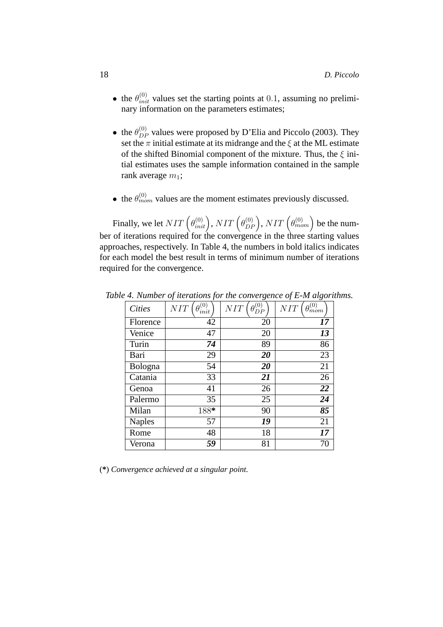- the  $\theta_{init}^{(0)}$  values set the starting points at 0.1, assuming no preliminary information on the parameters estimates;
- the  $\theta_{DP}^{(0)}$  values were proposed by D'Elia and Piccolo (2003). They set the  $\pi$  initial estimate at its midrange and the  $\xi$  at the ML estimate of the shifted Binomial component of the mixture. Thus, the  $\xi$  initial estimates uses the sample information contained in the sample rank average  $m_1$ ;
- the  $\theta_{mom}^{(0)}$  values are the moment estimates previously discussed.

Finally, we let  $NIT\left(\theta_{init}^{(0)}\right)$ ,  $NIT\left(\theta_{DP}^{(0)}\right)$ ,  $NIT\left(\theta_{mom}^{(0)}\right)$  be the number of iterations required for the convergence in the three starting values approaches, respectively. In Table 4, the numbers in bold italics indicates for each model the best result in terms of minimum number of iterations required for the convergence.

| <b>Cities</b> | (0)<br>NIT<br>init | (0)<br>NIT | $\theta_{mom}^{(0)}$<br>NIT |
|---------------|--------------------|------------|-----------------------------|
| Florence      | 42                 | 20         | 17                          |
| Venice        | 47                 | 20         | 13                          |
| Turin         | 74                 | 89         | 86                          |
| Bari          | 29                 | 20         | 23                          |
| Bologna       | 54                 | 20         | 21                          |
| Catania       | 33                 | 21         | 26                          |
| Genoa         | 41                 | 26         | 22                          |
| Palermo       | 35                 | 25         | 24                          |
| Milan         | 188*               | 90         | 85                          |
| <b>Naples</b> | 57                 | 19         | 21                          |
| Rome          | 48                 | 18         | 17                          |
| Verona        | 59                 | 81         | 70                          |

*Table 4. Number of iterations for the convergence of E-M algorithms.*

(**\***) *Convergence achieved at a singular point.*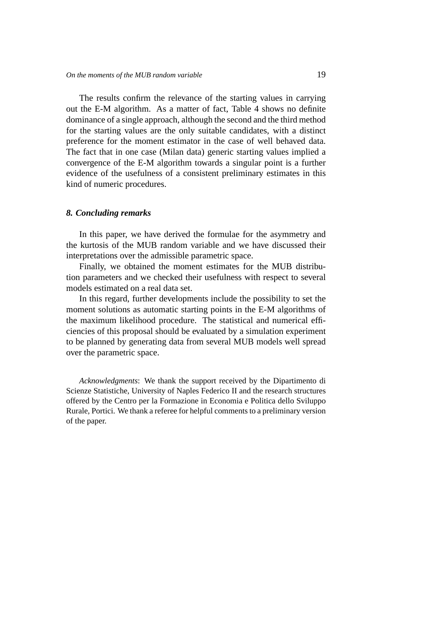The results confirm the relevance of the starting values in carrying out the E-M algorithm. As a matter of fact, Table 4 shows no definite dominance of a single approach, although the second and the third method for the starting values are the only suitable candidates, with a distinct preference for the moment estimator in the case of well behaved data. The fact that in one case (Milan data) generic starting values implied a convergence of the E-M algorithm towards a singular point is a further evidence of the usefulness of a consistent preliminary estimates in this kind of numeric procedures.

#### *8. Concluding remarks*

In this paper, we have derived the formulae for the asymmetry and the kurtosis of the MUB random variable and we have discussed their interpretations over the admissible parametric space.

Finally, we obtained the moment estimates for the MUB distribution parameters and we checked their usefulness with respect to several models estimated on a real data set.

In this regard, further developments include the possibility to set the moment solutions as automatic starting points in the E-M algorithms of the maximum likelihood procedure. The statistical and numerical efficiencies of this proposal should be evaluated by a simulation experiment to be planned by generating data from several MUB models well spread over the parametric space.

*Acknowledgments*: We thank the support received by the Dipartimento di Scienze Statistiche, University of Naples Federico II and the research structures offered by the Centro per la Formazione in Economia e Politica dello Sviluppo Rurale, Portici. We thank a referee for helpful comments to a preliminary version of the paper.